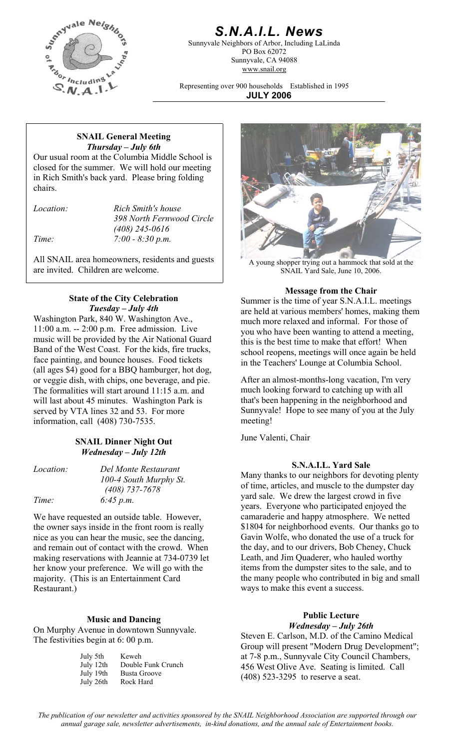

## *S.N.A.I.L. News*

Sunnyvale Neighbors of Arbor, Including LaLinda PO Box 62072 Sunnyvale, CA 94088 www.snail.org

Representing over 900 households Established in 1995 **JULY 2006**

### **SNAIL General Meeting**  *Thursday – July 6th*

Our usual room at the Columbia Middle School is closed for the summer. We will hold our meeting in Rich Smith's back yard. Please bring folding chairs.

*Location: Rich Smith's house 398 North Fernwood Circle (408) 245-0616 Time: 7:00 - 8:30 p.m.* 

All SNAIL area homeowners, residents and guests are invited. Children are welcome.

## **Message from the Chair**<br>Summer is the time of year S N A I I. *Tuesday – July 4th*

Washington Park, 840 W. Washington Ave., 11:00 a.m. -- 2:00 p.m. Free admission. Live music will be provided by the Air National Guard Band of the West Coast. For the kids, fire trucks, face painting, and bounce houses. Food tickets (all ages \$4) good for a BBQ hamburger, hot dog, or veggie dish, with chips, one beverage, and pie. After an almost-months-long vacation, I'm very The formalities will start around 11:15 a.m. and will last about 45 minutes. Washington Park is served by VTA lines 32 and 53. For more information, call (408) 730-7535.

## June Valenti, Chair **SNAIL Dinner Night Out**  *Wednesday – July 12th*

*Time: 6:45 p.m.* 

*100-4 South Murphy St. (408) 737-7678* 

We have requested an outside table. However, the owner says inside in the front room is really nice as you can hear the music, see the dancing, and remain out of contact with the crowd. When making reservations with Jeannie at 734-0739 let her know your preference. We will go with the majority. (This is an Entertainment Card Restaurant.)

**Music and Dancing**<br>*Music and Dancing* **Music and Dancing** *Mednesday – July 26th* On Murphy Avenue in downtown Sunnyvale.

| July 5th  | Keweh              |
|-----------|--------------------|
| July 12th | Double Funk Crunch |
| July 19th | Busta Groove       |
| July 26th | Rock Hard          |



A young shopper trying out a hammock that sold at the SNAIL Yard Sale, June 10, 2006.

Summer is the time of year S.N.A.I.L. meetings are held at various members' homes, making them much more relaxed and informal. For those of you who have been wanting to attend a meeting, this is the best time to make that effort! When school reopens, meetings will once again be held in the Teachers' Lounge at Columbia School.

much looking forward to catching up with all that's been happening in the neighborhood and Sunnyvale! Hope to see many of you at the July meeting!

**Example 19 Location:** Del Monte Restaurant *S.N.A.I.L. Yard Sale Many thanks to our neighbors for devoting plenty* of time, articles, and muscle to the dumpster day yard sale. We drew the largest crowd in five years. Everyone who participated enjoyed the camaraderie and happy atmosphere. We netted \$1804 for neighborhood events. Our thanks go to Gavin Wolfe, who donated the use of a truck for the day, and to our drivers, Bob Cheney, Chuck Leath, and Jim Quaderer, who hauled worthy items from the dumpster sites to the sale, and to the many people who contributed in big and small ways to make this event a success.

## **Public Lecture**

The festivities begin at 6: 00 p.m. Steven E. Carlson, M.D. of the Camino Medical Steven E. Carlson, M.D. of the Camino Medical Group will present "Modern Drug Development"; at 7-8 p.m., Sunnyvale City Council Chambers, 456 West Olive Ave. Seating is limited. Call (408) 523-3295 to reserve a seat.

*The publication of our newsletter and activities sponsored by the SNAIL Neighborhood Association are supported through our annual garage sale, newsletter advertisements, in-kind donations, and the annual sale of Entertainment books.*